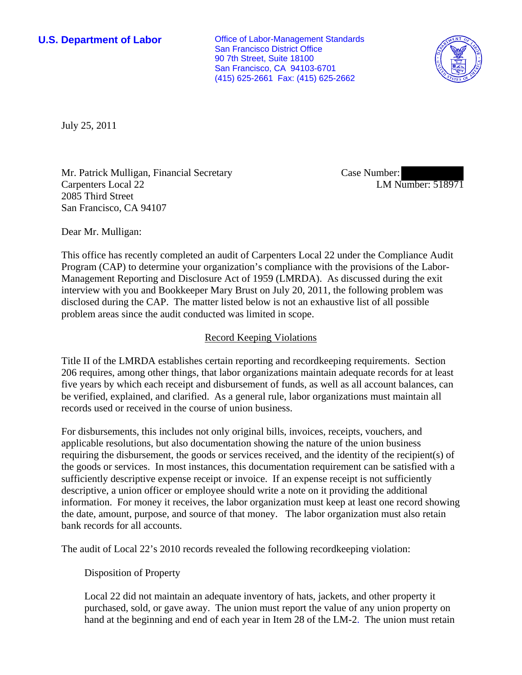**U.S. Department of Labor Conservative Conservative Conservative Conservative Conservative Conservative Conservative Conservative Conservative Conservative Conservative Conservative Conservative Conservative Conservative** San Francisco District Office 90 7th Street, Suite 18100 San Francisco, CA 94103-6701 (415) 625-2661 Fax: (415) 625-2662



July 25, 2011

Mr. Patrick Mulligan, Financial Secretary Carpenters Local 22 2085 Third Street San Francisco, CA 94107

Case Number: LM Number: 518971

Dear Mr. Mulligan:

This office has recently completed an audit of Carpenters Local 22 under the Compliance Audit Program (CAP) to determine your organization's compliance with the provisions of the Labor-Management Reporting and Disclosure Act of 1959 (LMRDA). As discussed during the exit interview with you and Bookkeeper Mary Brust on July 20, 2011, the following problem was disclosed during the CAP. The matter listed below is not an exhaustive list of all possible problem areas since the audit conducted was limited in scope.

## Record Keeping Violations

Title II of the LMRDA establishes certain reporting and recordkeeping requirements. Section 206 requires, among other things, that labor organizations maintain adequate records for at least five years by which each receipt and disbursement of funds, as well as all account balances, can be verified, explained, and clarified. As a general rule, labor organizations must maintain all records used or received in the course of union business.

For disbursements, this includes not only original bills, invoices, receipts, vouchers, and applicable resolutions, but also documentation showing the nature of the union business requiring the disbursement, the goods or services received, and the identity of the recipient(s) of the goods or services. In most instances, this documentation requirement can be satisfied with a sufficiently descriptive expense receipt or invoice. If an expense receipt is not sufficiently descriptive, a union officer or employee should write a note on it providing the additional information. For money it receives, the labor organization must keep at least one record showing the date, amount, purpose, and source of that money. The labor organization must also retain bank records for all accounts.

The audit of Local 22's 2010 records revealed the following recordkeeping violation:

Disposition of Property

Local 22 did not maintain an adequate inventory of hats, jackets, and other property it purchased, sold, or gave away. The union must report the value of any union property on hand at the beginning and end of each year in Item 28 of the LM-2. The union must retain